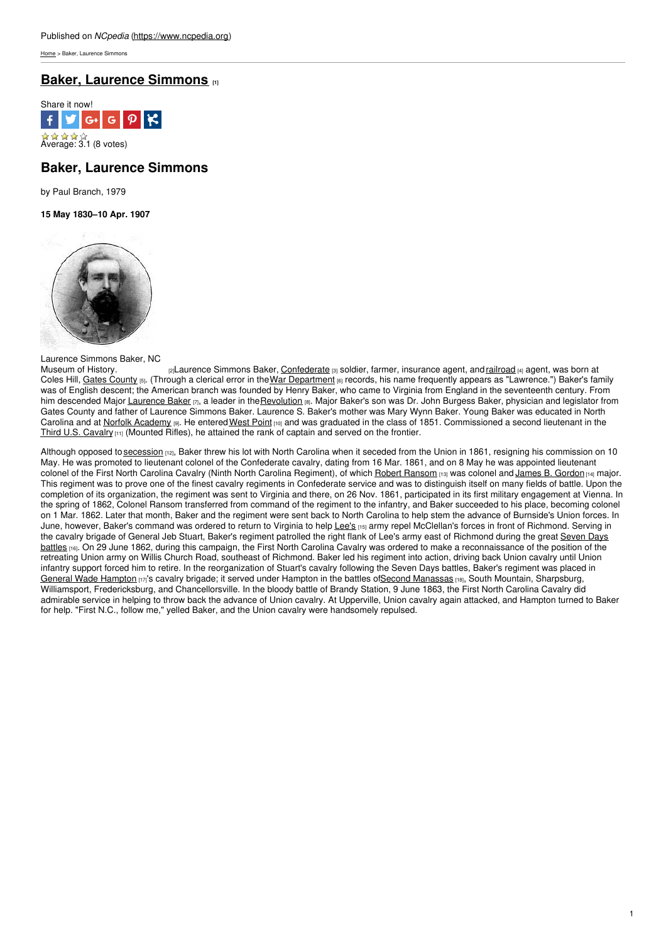[Home](https://www.ncpedia.org/) > Baker, Laurence Simmons

## **Baker, [Laurence](https://www.ncpedia.org/biography/baker-laurence-simmons) Simmons [1]**



# **Baker, Laurence Simmons**

by Paul Branch, 1979

**15 May 1830–10 Apr. 1907**



Laurence Simmons Baker, NC

[Museum](http://collections.ncdcr.gov/) of History. **[2] Laurence Simmons Baker**, [Confederate](https://www.ncpedia.org/confederate-party) [3] soldier, farmer, insurance agent, and [railroad](https://www.ncpedia.org/railroads) [4] agent, was born at Coles Hill, Gates [County](https://www.ncpedia.org/geography/gates) [5]. (Through a clerical error in the War [Department](http://www.archives.gov/research/guide-fed-records/groups/109.html) [6] records, his name frequently appears as "Lawrence.") Baker's family was of English descent; the American branch was founded by Henry Baker, who came to Virginia from England in the seventeenth century. From him descended Major [Laurence](https://www.ncpedia.org/biography/baker-laurence) Baker [7], a leader in the Revolution [8]. Major Baker's son was Dr. John Burgess Baker, physician and legislator from Gates County and father of Laurence Simmons Baker. Laurence S. Baker's mother was Mary Wynn Baker. Young Baker was educated in North Carolina and at Norfolk [Academy](http://www.norfolkacademy.org/home) [9]. He entered [West](http://www.usma.edu/SitePages/Home.aspx) Point [10] and was graduated in the class of 1851. Commissioned a second lieutenant in the Third U.S. [Cavalry](http://www.history.army.mil/books/R&H/R&H-3CV.htm) [11] (Mounted Rifles), he attained the rank of captain and served on the frontier.

Although opposed to [secession](https://www.ncpedia.org/secession-movement) [12], Baker threw his lot with North Carolina when it seceded from the Union in 1861, resigning his commission on 10 May. He was promoted to lieutenant colonel of the Confederate cavalry, dating from 16 Mar. 1861, and on 8 May he was appointed lieutenant colonel of the First North Carolina Cavalry (Ninth North Carolina Regiment), of which Robert [Ransom](http://www.history.com/this-day-in-history/robert-ransom-is-born) [13] was colonel and James B. [Gordon](https://www.ncpedia.org/biography/gordon-james-byron) [14] major. This regiment was to prove one of the finest cavalry regiments in Confederate service and was to distinguish itself on many fields of battle. Upon the completion of its organization, the regiment was sent to Virginia and there, on 26 Nov. 1861, participated in its first military engagement at Vienna. In the spring of 1862, Colonel Ransom transferred from command of the regiment to the infantry, and Baker succeeded to his place, becoming colonel on 1 Mar. 1862. Later that month, Baker and the regiment were sent back to North Carolina to help stem the advance of Burnside's Union forces. In June, however, Baker's command was ordered to return to Virginia to help [Lee's](http://www.pbs.org/wgbh/americanexperience/features/biography/grant-lee/) [15] army repel McClellan's forces in front of Richmond. Serving in the cavalry brigade of General Jeb Stuart, Baker's regiment patrolled the right flank of Lee's army east of Richmond during the great Seven Days battles [16]. On 29 June 1862, during this campaign, the First North Carolina Cavalry was ordered to make a [reconnaissance](http://encyclopediavirginia.org/Seven_Days_Battles) of the position of the retreating Union army on Willis Church Road, southeast of Richmond. Baker led his regiment into action, driving back Union cavalry until Union infantry support forced him to retire. In the reorganization of Stuart's cavalry following the Seven Days battles, Baker's regiment was placed in General Wade [Hampton](http://www.history.com/topics/wade-hampton) [17]'s cavalry brigade; it served under Hampton in the battles ofSecond [Manassas](https://www.nps.gov/mana/historyculture/second-manassas.htm) [18], South Mountain, Sharpsburg, Williamsport, Fredericksburg, and Chancellorsville. In the bloody battle of Brandy Station, 9 June 1863, the First North Carolina Cavalry did admirable service in helping to throw back the advance of Union cavalry. At Upperville, Union cavalry again attacked, and Hampton turned to Baker for help. "First N.C., follow me," yelled Baker, and the Union cavalry were handsomely repulsed.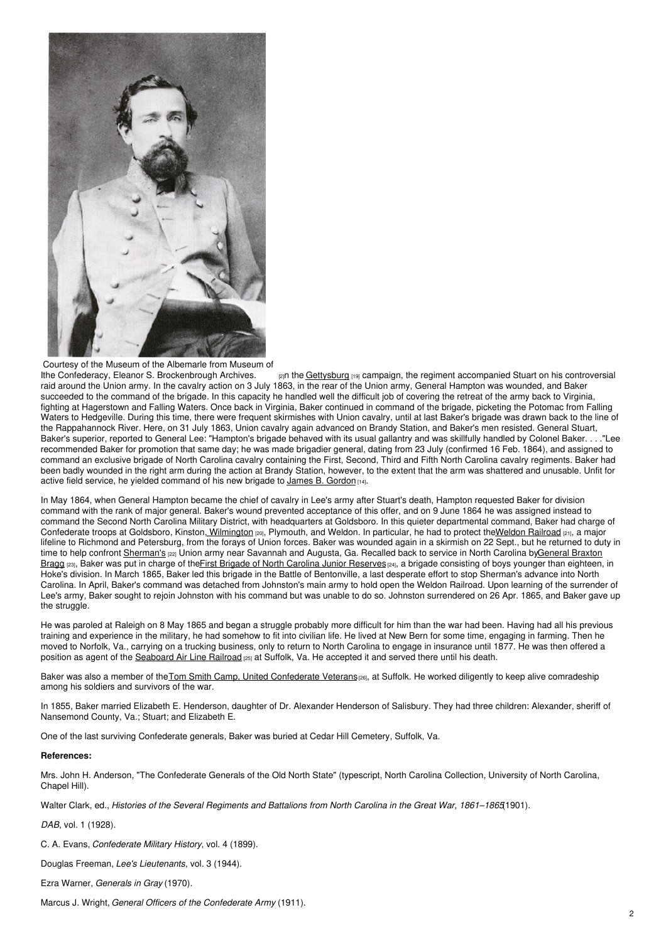

Courtesy of the Museum of the Albemarle from Museum of

Ithe Confederacy, Eleanor S. Brockenbrough Archives. <sub>[2]</sub>n the [Gettysburg](https://www.ncpedia.org/gettysburg-battle) [19] campaign, the regiment accompanied Stuart on his controversial raid around the Union army. In the cavalry action on 3 July 1863, in the rear of the Union army, General Hampton was wounded, and Baker succeeded to the command of the brigade. In this capacity he handled well the difficult job of covering the retreat of the army back to Virginia. fighting at Hagerstown and Falling Waters. Once back in Virginia, Baker continued in command of the brigade, picketing the Potomac from Falling Waters to Hedgeville. During this time, there were frequent skirmishes with Union cavalry, until at last Baker's brigade was drawn back to the line of the Rappahannock River. Here, on 31 July 1863, Union cavalry again advanced on Brandy Station, and Baker's men resisted. General Stuart, Baker's superior, reported to General Lee: "Hampton's brigade behaved with its usual gallantry and was skillfully handled by Colonel Baker. . . ."Lee recommended Baker for promotion that same day; he was made brigadier general, dating from 23 July (confirmed 16 Feb. 1864), and assigned to command an exclusive brigade of North Carolina cavalry containing the First, Second, Third and Fifth North Carolina cavalry regiments. Baker had been badly wounded in the right arm during the action at Brandy Station, however, to the extent that the arm was shattered and unusable. Unfit for active field service, he yielded command of his new brigade to James B. [Gordon](https://www.ncpedia.org/biography/gordon-james-byron) [14].

In May 1864, when General Hampton became the chief of cavalry in Lee's army after Stuart's death, Hampton requested Baker for division command with the rank of major general. Baker's wound prevented acceptance of this offer, and on 9 June 1864 he was assigned instead to command the Second North Carolina Military District, with headquarters at Goldsboro. In this quieter departmental command, Baker had charge of Confederate troops at Goldsboro, Kinston, [Wilmington](https://www.ncpedia.org/geography/wilmington) [20], Plymouth, and Weldon. In particular, he had to protect the Weldon [Railroad](https://www.ncpedia.org/wilmington-weldon-railroad) [21], a major lifeline to Richmond and Petersburg, from the forays of Union forces. Baker was wounded again in a skirmish on 22 Sept., but he returned to duty in time to help confront [Sherman'](http://www.pbs.org/weta/thewest/people/s_z/sherman.htm)[s](https://www.ncpedia.org/biography/bragg-braxton) <sub>[22]</sub> Union army near Savannah and Augusta, Ga. Recalled back to service in North Carolina byGeneral Braxton Bragg [23], Baker was put in charge of the First Brigade of North Carolina Junior [Reserves](https://www.ncpedia.org/north-carolina%E2%80%99s-youngest-soldiers) [24], a brigade consisting of boys younger than eighteen, in Hoke's division. In March 1865, Baker led this brigade in the Battle of Bentonville, a last desperate effort to stop Sherman's advance into North Carolina. In April, Baker's command was detached from Johnston's main army to hold open the Weldon Railroad. Upon learning of the surrender of Lee's army, Baker sought to rejoin Johnston with his command but was unable to do so. Johnston surrendered on 26 Apr. 1865, and Baker gave up the struggle.

He was paroled at Raleigh on 8 May 1865 and began a struggle probably more difficult for him than the war had been. Having had all his previous training and experience in the military, he had somehow to fit into civilian life. He lived at New Bern for some time, engaging in farming. Then he moved to Norfolk, Va., carrying on a trucking business, only to return to North Carolina to engage in insurance until 1877. He was then offered a position as agent of the [Seaboard](https://www.ncpedia.org/seaboard-air-line-railway) Air Line Railroad <sub>[25]</sub> at Suffolk, Va. He accepted it and served there until his death.

Baker was also a member of the Tom Smith Camp, United [Confederate](http://www.tomsmithcamp.com/tomsmith/) Veterans[26], at Suffolk. He worked diligently to keep alive comradeship among his soldiers and survivors of the war.

In 1855, Baker married Elizabeth E. Henderson, daughter of Dr. Alexander Henderson of Salisbury. They had three children: Alexander, sheriff of Nansemond County, Va.; Stuart; and Elizabeth E.

One of the last surviving Confederate generals, Baker was buried at Cedar Hill Cemetery, Suffolk, Va.

### **References:**

Mrs. John H. Anderson, "The Confederate Generals of the Old North State" (typescript, North Carolina Collection, University of North Carolina, Chapel Hill).

Walter Clark, ed., Histories of the Several Regiments and Battalions from North Carolina in the Great War, 1861-1865(1901).

*DAB*, vol. 1 (1928).

C. A. Evans, *Confederate Military History*, vol. 4 (1899).

Douglas Freeman, *Lee's Lieutenants*, vol. 3 (1944).

Ezra Warner, *Generals in Gray* (1970).

Marcus J. Wright, *General Officers of the Confederate Army* (1911).